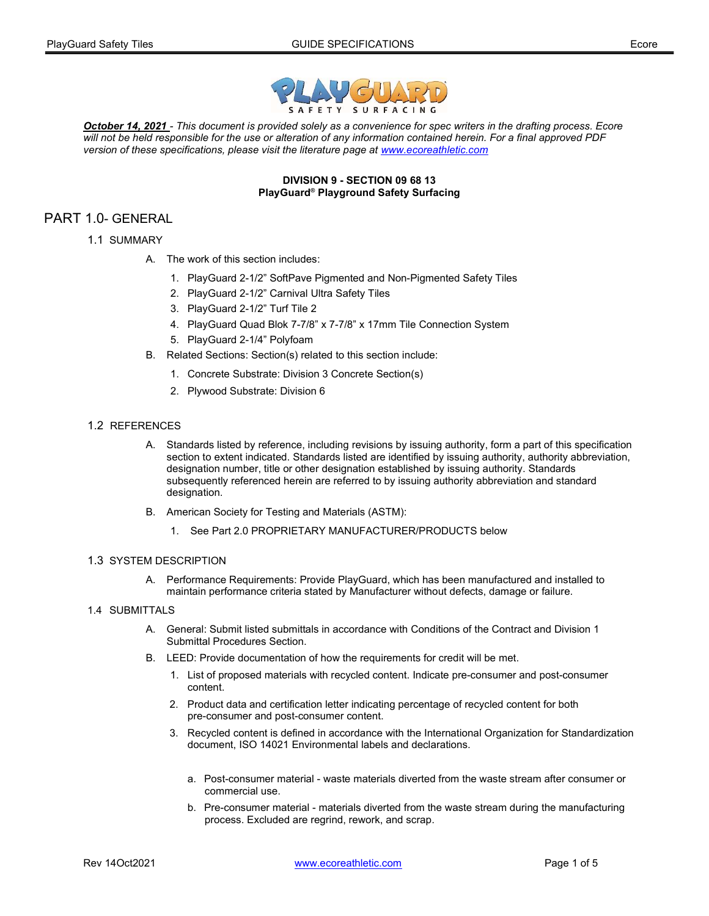



October 14, 2021 - This document is provided solely as a convenience for spec writers in the drafting process. Ecore will not be held responsible for the use or alteration of any information contained herein. For a final approved PDF version of these specifications, please visit the literature page at www.ecoreathletic.com

#### DIVISION 9 - SECTION 09 68 13 PlayGuard® Playground Safety Surfacing

# PART 1.0- GENERAL

- 1.1 SUMMARY
	- A. The work of this section includes:
		- 1. PlayGuard 2-1/2" SoftPave Pigmented and Non-Pigmented Safety Tiles
		- 2. PlayGuard 2-1/2" Carnival Ultra Safety Tiles
		- 3. PlayGuard 2-1/2" Turf Tile 2
		- 4. PlayGuard Quad Blok 7-7/8" x 7-7/8" x 17mm Tile Connection System
		- 5. PlayGuard 2-1/4" Polyfoam
	- B. Related Sections: Section(s) related to this section include:
		- 1. Concrete Substrate: Division 3 Concrete Section(s)
		- 2. Plywood Substrate: Division 6

# 1.2 REFERENCES

- A. Standards listed by reference, including revisions by issuing authority, form a part of this specification section to extent indicated. Standards listed are identified by issuing authority, authority abbreviation, designation number, title or other designation established by issuing authority. Standards subsequently referenced herein are referred to by issuing authority abbreviation and standard designation.
- B. American Society for Testing and Materials (ASTM):
	- 1. See Part 2.0 PROPRIETARY MANUFACTURER/PRODUCTS below

### 1.3 SYSTEM DESCRIPTION

- A. Performance Requirements: Provide PlayGuard, which has been manufactured and installed to maintain performance criteria stated by Manufacturer without defects, damage or failure.
- 1.4 SUBMITTALS
	- A. General: Submit listed submittals in accordance with Conditions of the Contract and Division 1 Submittal Procedures Section.
	- B. LEED: Provide documentation of how the requirements for credit will be met.
		- 1. List of proposed materials with recycled content. Indicate pre-consumer and post-consumer content.
		- 2. Product data and certification letter indicating percentage of recycled content for both pre-consumer and post-consumer content.
		- 3. Recycled content is defined in accordance with the International Organization for Standardization document, ISO 14021 Environmental labels and declarations.
			- a. Post-consumer material waste materials diverted from the waste stream after consumer or commercial use.
			- b. Pre-consumer material materials diverted from the waste stream during the manufacturing process. Excluded are regrind, rework, and scrap.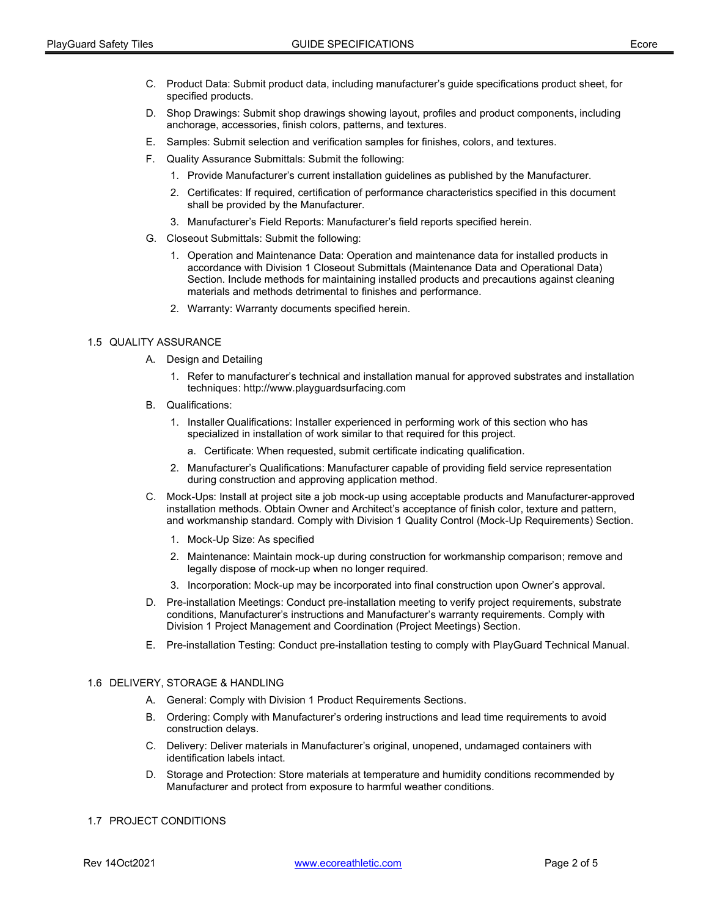- C. Product Data: Submit product data, including manufacturer's guide specifications product sheet, for specified products.
- D. Shop Drawings: Submit shop drawings showing layout, profiles and product components, including anchorage, accessories, finish colors, patterns, and textures.
- E. Samples: Submit selection and verification samples for finishes, colors, and textures.
- F. Quality Assurance Submittals: Submit the following:
	- 1. Provide Manufacturer's current installation guidelines as published by the Manufacturer.
	- 2. Certificates: If required, certification of performance characteristics specified in this document shall be provided by the Manufacturer.
	- 3. Manufacturer's Field Reports: Manufacturer's field reports specified herein.
- G. Closeout Submittals: Submit the following:
	- 1. Operation and Maintenance Data: Operation and maintenance data for installed products in accordance with Division 1 Closeout Submittals (Maintenance Data and Operational Data) Section. Include methods for maintaining installed products and precautions against cleaning materials and methods detrimental to finishes and performance.
	- 2. Warranty: Warranty documents specified herein.

#### 1.5 QUALITY ASSURANCE

- A. Design and Detailing
	- 1. Refer to manufacturer's technical and installation manual for approved substrates and installation techniques: http://www.playguardsurfacing.com
- B. Qualifications:
	- 1. Installer Qualifications: Installer experienced in performing work of this section who has specialized in installation of work similar to that required for this project.
		- a. Certificate: When requested, submit certificate indicating qualification.
	- 2. Manufacturer's Qualifications: Manufacturer capable of providing field service representation during construction and approving application method.
- C. Mock-Ups: Install at project site a job mock-up using acceptable products and Manufacturer-approved installation methods. Obtain Owner and Architect's acceptance of finish color, texture and pattern, and workmanship standard. Comply with Division 1 Quality Control (Mock-Up Requirements) Section.
	- 1. Mock-Up Size: As specified
	- 2. Maintenance: Maintain mock-up during construction for workmanship comparison; remove and legally dispose of mock-up when no longer required.
	- 3. Incorporation: Mock-up may be incorporated into final construction upon Owner's approval.
- D. Pre-installation Meetings: Conduct pre-installation meeting to verify project requirements, substrate conditions, Manufacturer's instructions and Manufacturer's warranty requirements. Comply with Division 1 Project Management and Coordination (Project Meetings) Section.
- E. Pre-installation Testing: Conduct pre-installation testing to comply with PlayGuard Technical Manual.

#### 1.6 DELIVERY, STORAGE & HANDLING

- A. General: Comply with Division 1 Product Requirements Sections.
- B. Ordering: Comply with Manufacturer's ordering instructions and lead time requirements to avoid construction delays.
- C. Delivery: Deliver materials in Manufacturer's original, unopened, undamaged containers with identification labels intact.
- D. Storage and Protection: Store materials at temperature and humidity conditions recommended by Manufacturer and protect from exposure to harmful weather conditions.

#### 1.7 PROJECT CONDITIONS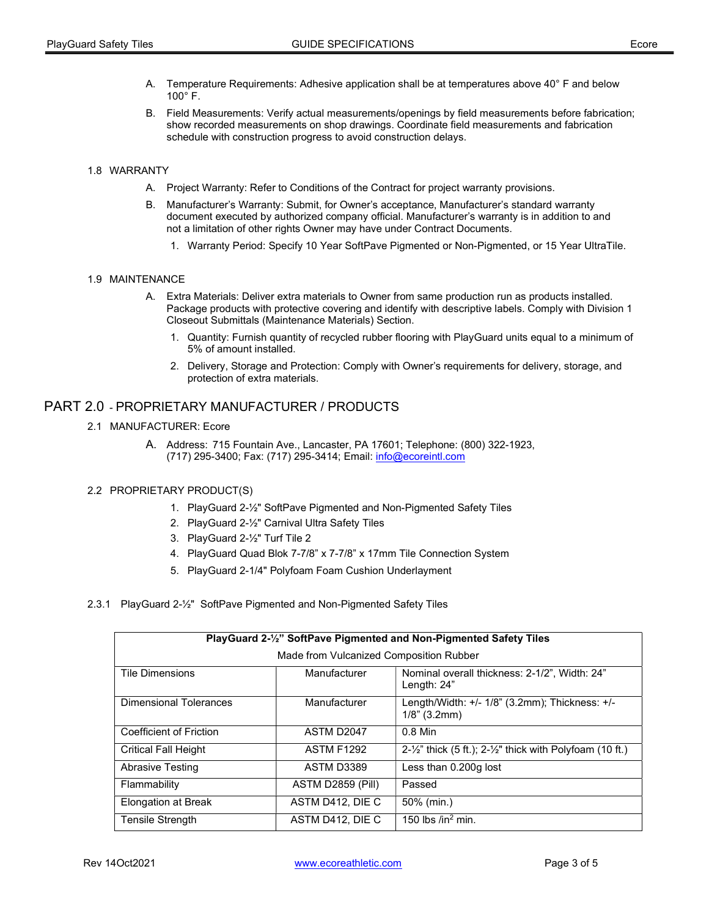- A. Temperature Requirements: Adhesive application shall be at temperatures above 40° F and below  $100^\circ$  F.
- B. Field Measurements: Verify actual measurements/openings by field measurements before fabrication; show recorded measurements on shop drawings. Coordinate field measurements and fabrication schedule with construction progress to avoid construction delays.

# 1.8 WARRANTY

- A. Project Warranty: Refer to Conditions of the Contract for project warranty provisions.
- B. Manufacturer's Warranty: Submit, for Owner's acceptance, Manufacturer's standard warranty document executed by authorized company official. Manufacturer's warranty is in addition to and not a limitation of other rights Owner may have under Contract Documents.
	- 1. Warranty Period: Specify 10 Year SoftPave Pigmented or Non-Pigmented, or 15 Year UltraTile.

#### 1.9 MAINTENANCE

- A. Extra Materials: Deliver extra materials to Owner from same production run as products installed. Package products with protective covering and identify with descriptive labels. Comply with Division 1 Closeout Submittals (Maintenance Materials) Section.
	- 1. Quantity: Furnish quantity of recycled rubber flooring with PlayGuard units equal to a minimum of 5% of amount installed.
	- 2. Delivery, Storage and Protection: Comply with Owner's requirements for delivery, storage, and protection of extra materials.

# PART 2.0 - PROPRIETARY MANUFACTURER / PRODUCTS

# 2.1 MANUFACTURER: Ecore

A. Address: 715 Fountain Ave., Lancaster, PA 17601; Telephone: (800) 322-1923, (717) 295-3400; Fax: (717) 295-3414; Email: info@ecoreintl.com

# 2.2 PROPRIETARY PRODUCT(S)

- 1. PlayGuard 2-½" SoftPave Pigmented and Non-Pigmented Safety Tiles
- 2. PlayGuard 2-½" Carnival Ultra Safety Tiles
- 3. PlayGuard 2-½" Turf Tile 2
- 4. PlayGuard Quad Blok 7-7/8" x 7-7/8" x 17mm Tile Connection System
- 5. PlayGuard 2-1/4" Polyfoam Foam Cushion Underlayment
- 2.3.1 PlayGuard 2-½" SoftPave Pigmented and Non-Pigmented Safety Tiles

| PlayGuard 2-1/2" SoftPave Pigmented and Non-Pigmented Safety Tiles |                   |                                                                                 |  |
|--------------------------------------------------------------------|-------------------|---------------------------------------------------------------------------------|--|
| Made from Vulcanized Composition Rubber                            |                   |                                                                                 |  |
| <b>Tile Dimensions</b>                                             | Manufacturer      | Nominal overall thickness: 2-1/2", Width: 24"<br>Length: 24"                    |  |
| <b>Dimensional Tolerances</b>                                      | Manufacturer      | Length/Width: +/- 1/8" (3.2mm); Thickness: +/-<br>$1/8$ " (3.2mm)               |  |
| <b>Coefficient of Friction</b>                                     | ASTM D2047        | $0.8$ Min                                                                       |  |
| <b>Critical Fall Height</b>                                        | <b>ASTM F1292</b> | $2-\frac{1}{2}$ " thick (5 ft.); $2-\frac{1}{2}$ " thick with Polyfoam (10 ft.) |  |
| <b>Abrasive Testing</b>                                            | ASTM D3389        | Less than 0.200g lost                                                           |  |
| Flammability                                                       | ASTM D2859 (Pill) | Passed                                                                          |  |
| <b>Elongation at Break</b>                                         | ASTM D412, DIE C  | 50% (min.)                                                                      |  |
| <b>Tensile Strength</b>                                            | ASTM D412, DIE C  | 150 lbs /in <sup>2</sup> min.                                                   |  |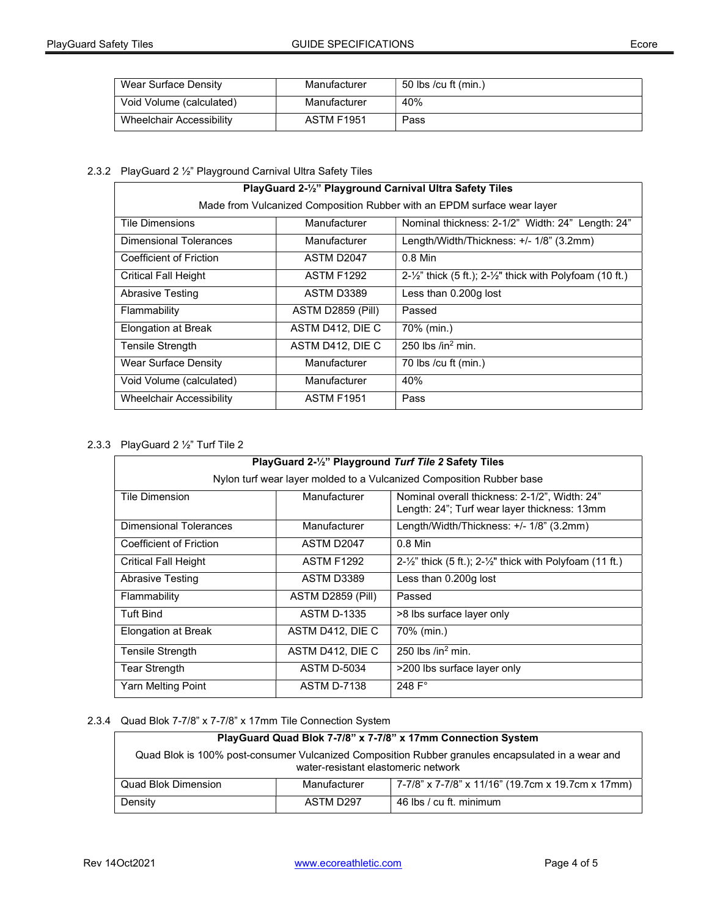| Wear Surface Density     | Manufacturer      | 50 lbs /cu ft (min.) |
|--------------------------|-------------------|----------------------|
| Void Volume (calculated) | Manufacturer      | 40%                  |
| Wheelchair Accessibility | <b>ASTM F1951</b> | Pass                 |

# 2.3.2 PlayGuard 2 ½" Playground Carnival Ultra Safety Tiles

| PlayGuard 2-1/2" Playground Carnival Ultra Safety Tiles                 |                   |                                                                                 |  |
|-------------------------------------------------------------------------|-------------------|---------------------------------------------------------------------------------|--|
| Made from Vulcanized Composition Rubber with an EPDM surface wear layer |                   |                                                                                 |  |
| <b>Tile Dimensions</b>                                                  | Manufacturer      | Nominal thickness: 2-1/2" Width: 24" Length: 24"                                |  |
| Dimensional Tolerances                                                  | Manufacturer      | Length/Width/Thickness: +/- 1/8" (3.2mm)                                        |  |
| Coefficient of Friction                                                 | ASTM D2047        | $0.8$ Min                                                                       |  |
| <b>Critical Fall Height</b>                                             | <b>ASTM F1292</b> | $2-\frac{1}{2}$ " thick (5 ft.); $2-\frac{1}{2}$ " thick with Polyfoam (10 ft.) |  |
| Abrasive Testing                                                        | ASTM D3389        | Less than 0.200g lost                                                           |  |
| Flammability                                                            | ASTM D2859 (Pill) | Passed                                                                          |  |
| <b>Elongation at Break</b>                                              | ASTM D412, DIE C  | 70% (min.)                                                                      |  |
| <b>Tensile Strength</b>                                                 | ASTM D412, DIE C  | 250 lbs $\ln^2$ min.                                                            |  |
| Wear Surface Density                                                    | Manufacturer      | 70 lbs / $cu$ ft (min.)                                                         |  |
| Void Volume (calculated)                                                | Manufacturer      | 40%                                                                             |  |
| Wheelchair Accessibility                                                | <b>ASTM F1951</b> | Pass                                                                            |  |

# 2.3.3 PlayGuard 2 ½" Turf Tile 2

| PlayGuard 2-1/2" Playground Turf Tile 2 Safety Tiles                 |                    |                                                                                               |  |
|----------------------------------------------------------------------|--------------------|-----------------------------------------------------------------------------------------------|--|
| Nylon turf wear layer molded to a Vulcanized Composition Rubber base |                    |                                                                                               |  |
| Tile Dimension                                                       | Manufacturer       | Nominal overall thickness: 2-1/2", Width: 24"<br>Length: 24"; Turf wear layer thickness: 13mm |  |
| Dimensional Tolerances                                               | Manufacturer       | Length/Width/Thickness: +/- 1/8" (3.2mm)                                                      |  |
| Coefficient of Friction                                              | ASTM D2047         | $0.8$ Min                                                                                     |  |
| Critical Fall Height                                                 | <b>ASTM F1292</b>  | $2-\frac{1}{2}$ " thick (5 ft.); $2-\frac{1}{2}$ " thick with Polyfoam (11 ft.)               |  |
| <b>Abrasive Testing</b>                                              | ASTM D3389         | Less than 0.200g lost                                                                         |  |
| Flammability                                                         | ASTM D2859 (Pill)  | Passed                                                                                        |  |
| <b>Tuft Bind</b>                                                     | <b>ASTM D-1335</b> | >8 lbs surface layer only                                                                     |  |
| Elongation at Break                                                  | ASTM D412, DIE C   | 70% (min.)                                                                                    |  |
| Tensile Strength                                                     | ASTM D412, DIE C   | 250 lbs $/in2 min.$                                                                           |  |
| Tear Strength                                                        | <b>ASTM D-5034</b> | >200 lbs surface layer only                                                                   |  |
| Yarn Melting Point                                                   | <b>ASTM D-7138</b> | 248 $F^{\circ}$                                                                               |  |

# 2.3.4 Quad Blok 7-7/8" x 7-7/8" x 17mm Tile Connection System

| PlayGuard Quad Blok 7-7/8" x 7-7/8" x 17mm Connection System                                                                             |              |                                                    |
|------------------------------------------------------------------------------------------------------------------------------------------|--------------|----------------------------------------------------|
| Quad Blok is 100% post-consumer Vulcanized Composition Rubber granules encapsulated in a wear and<br>water-resistant elastomeric network |              |                                                    |
| Quad Blok Dimension                                                                                                                      | Manufacturer | ,7-7/8" x 7-7/8" x 11/16" (19.7cm x 19.7cm x 17mm) |
| Density                                                                                                                                  | ASTM D297    | 46 lbs / cu ft. minimum                            |